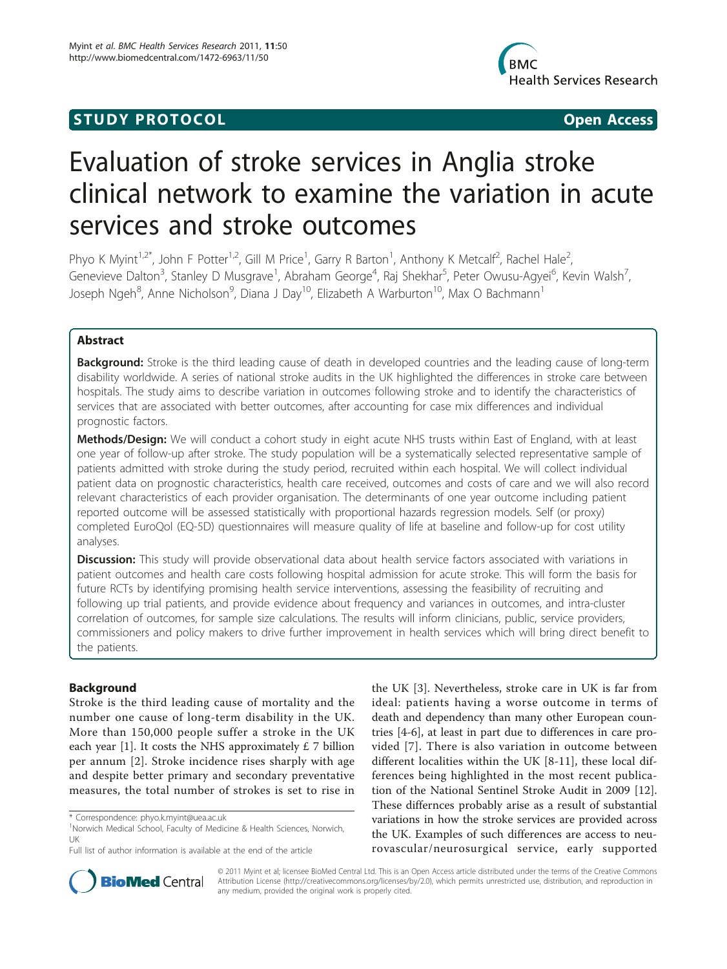# **STUDY PROTOCOL** And the state of the state of the state of the state of the state of the state of the state of the state of the state of the state of the state of the state of the state of the state of the state of the st



# Evaluation of stroke services in Anglia stroke clinical network to examine the variation in acute services and stroke outcomes

Phyo K Myint<sup>1,2\*</sup>, John F Potter<sup>1,2</sup>, Gill M Price<sup>1</sup>, Garry R Barton<sup>1</sup>, Anthony K Metcalf<sup>2</sup>, Rachel Hale<sup>2</sup> , Genevieve Dalton<sup>3</sup>, Stanley D Musgrave<sup>1</sup>, Abraham George<sup>4</sup>, Raj Shekhar<sup>5</sup>, Peter Owusu-Agyei<sup>6</sup>, Kevin Walsh<sup>7</sup> , Joseph Ngeh<sup>8</sup>, Anne Nicholson<sup>9</sup>, Diana J Day<sup>10</sup>, Elizabeth A Warburton<sup>10</sup>, Max O Bachmann<sup>1</sup>

# Abstract

Background: Stroke is the third leading cause of death in developed countries and the leading cause of long-term disability worldwide. A series of national stroke audits in the UK highlighted the differences in stroke care between hospitals. The study aims to describe variation in outcomes following stroke and to identify the characteristics of services that are associated with better outcomes, after accounting for case mix differences and individual prognostic factors.

Methods/Design: We will conduct a cohort study in eight acute NHS trusts within East of England, with at least one year of follow-up after stroke. The study population will be a systematically selected representative sample of patients admitted with stroke during the study period, recruited within each hospital. We will collect individual patient data on prognostic characteristics, health care received, outcomes and costs of care and we will also record relevant characteristics of each provider organisation. The determinants of one year outcome including patient reported outcome will be assessed statistically with proportional hazards regression models. Self (or proxy) completed EuroQol (EQ-5D) questionnaires will measure quality of life at baseline and follow-up for cost utility analyses.

Discussion: This study will provide observational data about health service factors associated with variations in patient outcomes and health care costs following hospital admission for acute stroke. This will form the basis for future RCTs by identifying promising health service interventions, assessing the feasibility of recruiting and following up trial patients, and provide evidence about frequency and variances in outcomes, and intra-cluster correlation of outcomes, for sample size calculations. The results will inform clinicians, public, service providers, commissioners and policy makers to drive further improvement in health services which will bring direct benefit to the patients.

# Background

Stroke is the third leading cause of mortality and the number one cause of long-term disability in the UK. More than 150,000 people suffer a stroke in the UK each year [[1](#page-5-0)]. It costs the NHS approximately  $E$  7 billion per annum [[2](#page-5-0)]. Stroke incidence rises sharply with age and despite better primary and secondary preventative measures, the total number of strokes is set to rise in

the UK [[3\]](#page-5-0). Nevertheless, stroke care in UK is far from ideal: patients having a worse outcome in terms of death and dependency than many other European countries [[4-6\]](#page-5-0), at least in part due to differences in care provided [[7\]](#page-5-0). There is also variation in outcome between different localities within the UK [\[8](#page-5-0)-[11\]](#page-5-0), these local differences being highlighted in the most recent publication of the National Sentinel Stroke Audit in 2009 [\[12](#page-5-0)]. These differnces probably arise as a result of substantial variations in how the stroke services are provided across the UK. Examples of such differences are access to neurovascular/neurosurgical service, early supported



© 2011 Myint et al; licensee BioMed Central Ltd. This is an Open Access article distributed under the terms of the Creative Commons Attribution License [\(http://creativecommons.org/licenses/by/2.0](http://creativecommons.org/licenses/by/2.0)), which permits unrestricted use, distribution, and reproduction in any medium, provided the original work is properly cited.

<sup>\*</sup> Correspondence: [phyo.k.myint@uea.ac.uk](mailto:phyo.k.myint@uea.ac.uk)

<sup>&</sup>lt;sup>1</sup>Norwich Medical School, Faculty of Medicine & Health Sciences, Norwich, UK

Full list of author information is available at the end of the article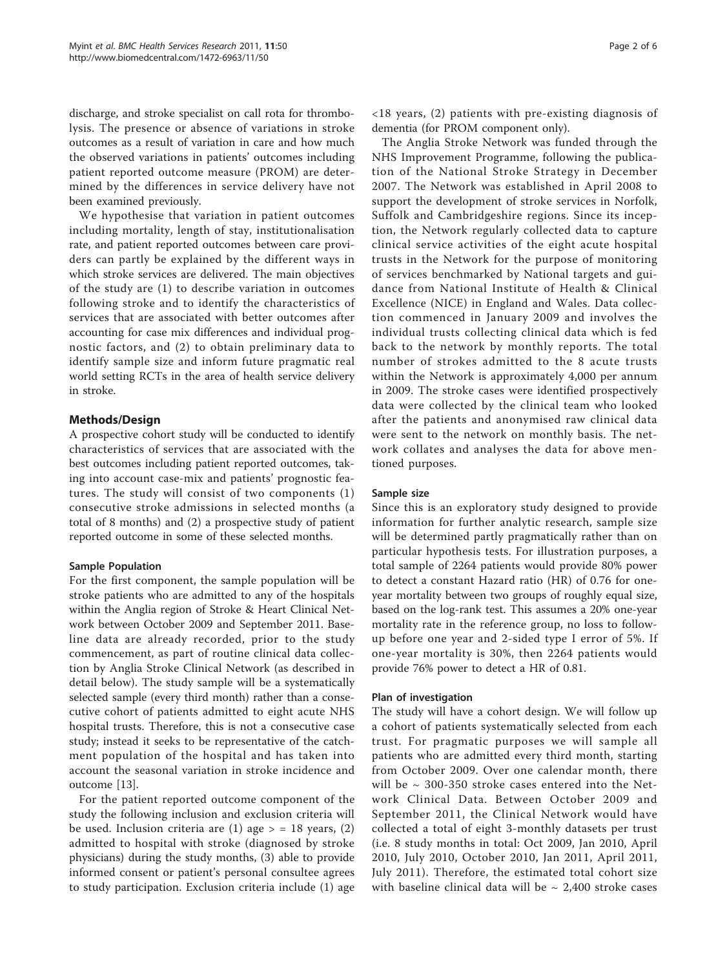discharge, and stroke specialist on call rota for thrombolysis. The presence or absence of variations in stroke outcomes as a result of variation in care and how much the observed variations in patients' outcomes including patient reported outcome measure (PROM) are determined by the differences in service delivery have not been examined previously.

We hypothesise that variation in patient outcomes including mortality, length of stay, institutionalisation rate, and patient reported outcomes between care providers can partly be explained by the different ways in which stroke services are delivered. The main objectives of the study are (1) to describe variation in outcomes following stroke and to identify the characteristics of services that are associated with better outcomes after accounting for case mix differences and individual prognostic factors, and (2) to obtain preliminary data to identify sample size and inform future pragmatic real world setting RCTs in the area of health service delivery in stroke.

# Methods/Design

A prospective cohort study will be conducted to identify characteristics of services that are associated with the best outcomes including patient reported outcomes, taking into account case-mix and patients' prognostic features. The study will consist of two components (1) consecutive stroke admissions in selected months (a total of 8 months) and (2) a prospective study of patient reported outcome in some of these selected months.

## Sample Population

For the first component, the sample population will be stroke patients who are admitted to any of the hospitals within the Anglia region of Stroke & Heart Clinical Network between October 2009 and September 2011. Baseline data are already recorded, prior to the study commencement, as part of routine clinical data collection by Anglia Stroke Clinical Network (as described in detail below). The study sample will be a systematically selected sample (every third month) rather than a consecutive cohort of patients admitted to eight acute NHS hospital trusts. Therefore, this is not a consecutive case study; instead it seeks to be representative of the catchment population of the hospital and has taken into account the seasonal variation in stroke incidence and outcome [[13](#page-5-0)].

For the patient reported outcome component of the study the following inclusion and exclusion criteria will be used. Inclusion criteria are  $(1)$  age  $>$  = 18 years,  $(2)$ admitted to hospital with stroke (diagnosed by stroke physicians) during the study months, (3) able to provide informed consent or patient's personal consultee agrees to study participation. Exclusion criteria include (1) age <18 years, (2) patients with pre-existing diagnosis of dementia (for PROM component only).

The Anglia Stroke Network was funded through the NHS Improvement Programme, following the publication of the National Stroke Strategy in December 2007. The Network was established in April 2008 to support the development of stroke services in Norfolk, Suffolk and Cambridgeshire regions. Since its inception, the Network regularly collected data to capture clinical service activities of the eight acute hospital trusts in the Network for the purpose of monitoring of services benchmarked by National targets and guidance from National Institute of Health & Clinical Excellence (NICE) in England and Wales. Data collection commenced in January 2009 and involves the individual trusts collecting clinical data which is fed back to the network by monthly reports. The total number of strokes admitted to the 8 acute trusts within the Network is approximately 4,000 per annum in 2009. The stroke cases were identified prospectively data were collected by the clinical team who looked after the patients and anonymised raw clinical data were sent to the network on monthly basis. The network collates and analyses the data for above mentioned purposes.

## Sample size

Since this is an exploratory study designed to provide information for further analytic research, sample size will be determined partly pragmatically rather than on particular hypothesis tests. For illustration purposes, a total sample of 2264 patients would provide 80% power to detect a constant Hazard ratio (HR) of 0.76 for oneyear mortality between two groups of roughly equal size, based on the log-rank test. This assumes a 20% one-year mortality rate in the reference group, no loss to followup before one year and 2-sided type I error of 5%. If one-year mortality is 30%, then 2264 patients would provide 76% power to detect a HR of 0.81.

#### Plan of investigation

The study will have a cohort design. We will follow up a cohort of patients systematically selected from each trust. For pragmatic purposes we will sample all patients who are admitted every third month, starting from October 2009. Over one calendar month, there will be  $\sim$  300-350 stroke cases entered into the Network Clinical Data. Between October 2009 and September 2011, the Clinical Network would have collected a total of eight 3-monthly datasets per trust (i.e. 8 study months in total: Oct 2009, Jan 2010, April 2010, July 2010, October 2010, Jan 2011, April 2011, July 2011). Therefore, the estimated total cohort size with baseline clinical data will be  $\sim 2,400$  stroke cases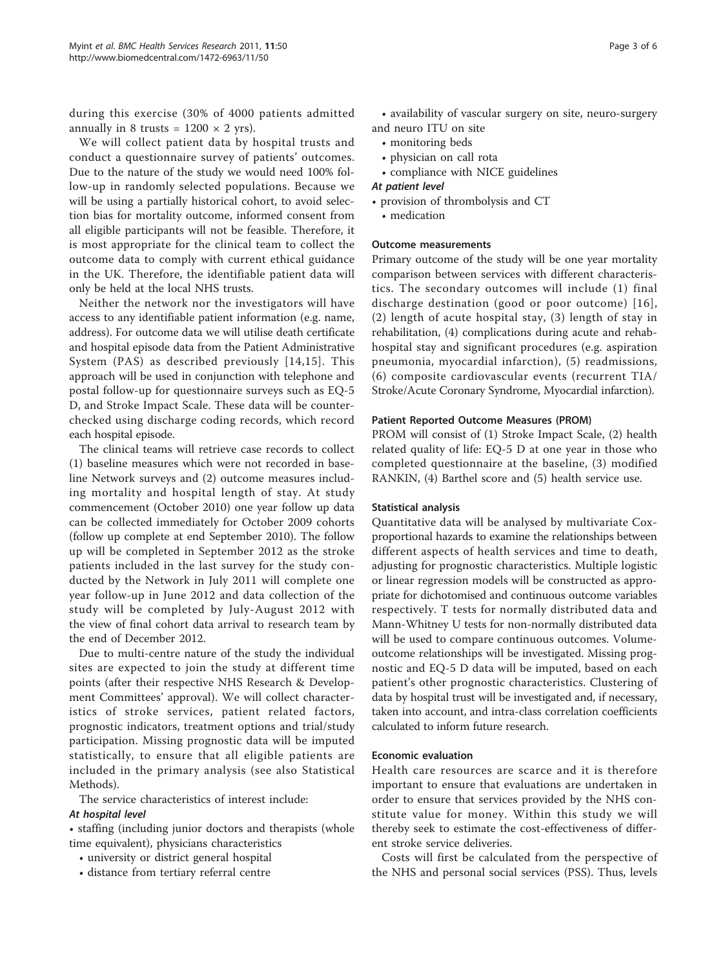during this exercise (30% of 4000 patients admitted annually in 8 trusts =  $1200 \times 2$  yrs).

We will collect patient data by hospital trusts and conduct a questionnaire survey of patients' outcomes. Due to the nature of the study we would need 100% follow-up in randomly selected populations. Because we will be using a partially historical cohort, to avoid selection bias for mortality outcome, informed consent from all eligible participants will not be feasible. Therefore, it is most appropriate for the clinical team to collect the outcome data to comply with current ethical guidance in the UK. Therefore, the identifiable patient data will only be held at the local NHS trusts.

Neither the network nor the investigators will have access to any identifiable patient information (e.g. name, address). For outcome data we will utilise death certificate and hospital episode data from the Patient Administrative System (PAS) as described previously [[14](#page-5-0),[15](#page-5-0)]. This approach will be used in conjunction with telephone and postal follow-up for questionnaire surveys such as EQ-5 D, and Stroke Impact Scale. These data will be counterchecked using discharge coding records, which record each hospital episode.

The clinical teams will retrieve case records to collect (1) baseline measures which were not recorded in baseline Network surveys and (2) outcome measures including mortality and hospital length of stay. At study commencement (October 2010) one year follow up data can be collected immediately for October 2009 cohorts (follow up complete at end September 2010). The follow up will be completed in September 2012 as the stroke patients included in the last survey for the study conducted by the Network in July 2011 will complete one year follow-up in June 2012 and data collection of the study will be completed by July-August 2012 with the view of final cohort data arrival to research team by the end of December 2012.

Due to multi-centre nature of the study the individual sites are expected to join the study at different time points (after their respective NHS Research & Development Committees' approval). We will collect characteristics of stroke services, patient related factors, prognostic indicators, treatment options and trial/study participation. Missing prognostic data will be imputed statistically, to ensure that all eligible patients are included in the primary analysis (see also Statistical Methods).

The service characteristics of interest include:

## At hospital level

• staffing (including junior doctors and therapists (whole time equivalent), physicians characteristics

- university or district general hospital
- distance from tertiary referral centre
- monitoring beds
- physician on call rota
- compliance with NICE guidelines

# At patient level

- provision of thrombolysis and CT
- medication

# Outcome measurements

Primary outcome of the study will be one year mortality comparison between services with different characteristics. The secondary outcomes will include (1) final discharge destination (good or poor outcome) [[16\]](#page-5-0), (2) length of acute hospital stay, (3) length of stay in rehabilitation, (4) complications during acute and rehabhospital stay and significant procedures (e.g. aspiration pneumonia, myocardial infarction), (5) readmissions, (6) composite cardiovascular events (recurrent TIA/ Stroke/Acute Coronary Syndrome, Myocardial infarction).

## Patient Reported Outcome Measures (PROM)

PROM will consist of (1) Stroke Impact Scale, (2) health related quality of life: EQ-5 D at one year in those who completed questionnaire at the baseline, (3) modified RANKIN, (4) Barthel score and (5) health service use.

## Statistical analysis

Quantitative data will be analysed by multivariate Coxproportional hazards to examine the relationships between different aspects of health services and time to death, adjusting for prognostic characteristics. Multiple logistic or linear regression models will be constructed as appropriate for dichotomised and continuous outcome variables respectively. T tests for normally distributed data and Mann-Whitney U tests for non-normally distributed data will be used to compare continuous outcomes. Volumeoutcome relationships will be investigated. Missing prognostic and EQ-5 D data will be imputed, based on each patient's other prognostic characteristics. Clustering of data by hospital trust will be investigated and, if necessary, taken into account, and intra-class correlation coefficients calculated to inform future research.

## Economic evaluation

Health care resources are scarce and it is therefore important to ensure that evaluations are undertaken in order to ensure that services provided by the NHS constitute value for money. Within this study we will thereby seek to estimate the cost-effectiveness of different stroke service deliveries.

Costs will first be calculated from the perspective of the NHS and personal social services (PSS). Thus, levels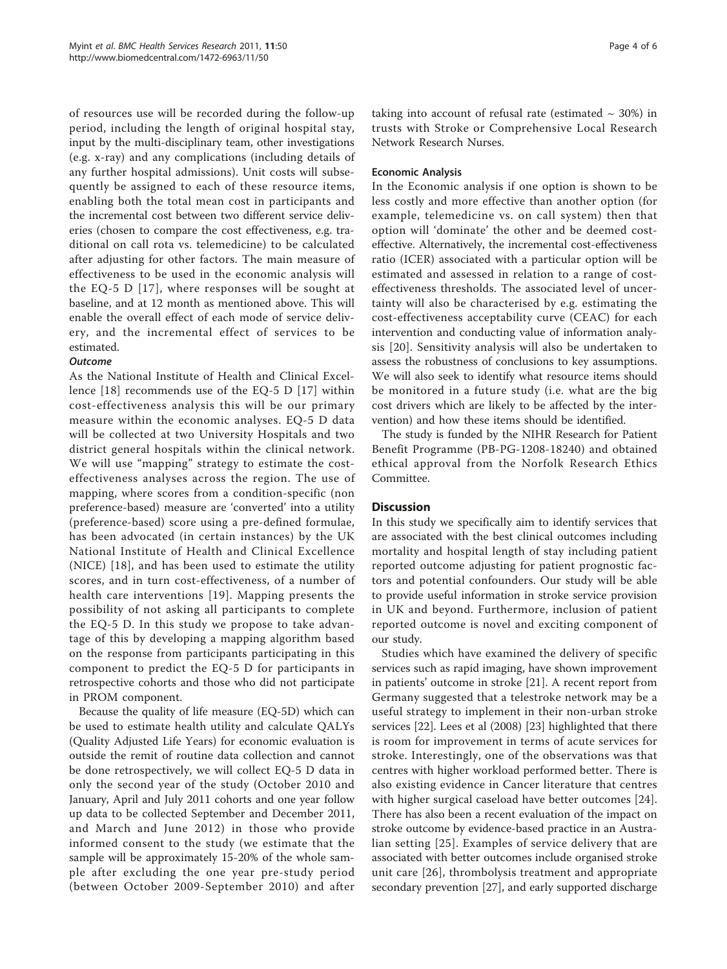of resources use will be recorded during the follow-up period, including the length of original hospital stay, input by the multi-disciplinary team, other investigations (e.g. x-ray) and any complications (including details of any further hospital admissions). Unit costs will subsequently be assigned to each of these resource items, enabling both the total mean cost in participants and the incremental cost between two different service deliveries (chosen to compare the cost effectiveness, e.g. traditional on call rota vs. telemedicine) to be calculated after adjusting for other factors. The main measure of effectiveness to be used in the economic analysis will the EQ-5 D [[17](#page-5-0)], where responses will be sought at baseline, and at 12 month as mentioned above. This will enable the overall effect of each mode of service delivery, and the incremental effect of services to be estimated.

## **Outcome**

As the National Institute of Health and Clinical Excellence [[18\]](#page-5-0) recommends use of the EQ-5 D [[17\]](#page-5-0) within cost-effectiveness analysis this will be our primary measure within the economic analyses. EQ-5 D data will be collected at two University Hospitals and two district general hospitals within the clinical network. We will use "mapping" strategy to estimate the costeffectiveness analyses across the region. The use of mapping, where scores from a condition-specific (non preference-based) measure are 'converted' into a utility (preference-based) score using a pre-defined formulae, has been advocated (in certain instances) by the UK National Institute of Health and Clinical Excellence (NICE) [[18](#page-5-0)], and has been used to estimate the utility scores, and in turn cost-effectiveness, of a number of health care interventions [[19\]](#page-5-0). Mapping presents the possibility of not asking all participants to complete the EQ-5 D. In this study we propose to take advantage of this by developing a mapping algorithm based on the response from participants participating in this component to predict the EQ-5 D for participants in retrospective cohorts and those who did not participate in PROM component.

Because the quality of life measure (EQ-5D) which can be used to estimate health utility and calculate QALYs (Quality Adjusted Life Years) for economic evaluation is outside the remit of routine data collection and cannot be done retrospectively, we will collect EQ-5 D data in only the second year of the study (October 2010 and January, April and July 2011 cohorts and one year follow up data to be collected September and December 2011, and March and June 2012) in those who provide informed consent to the study (we estimate that the sample will be approximately 15-20% of the whole sample after excluding the one year pre-study period (between October 2009-September 2010) and after

taking into account of refusal rate (estimated  $\sim$  30%) in trusts with Stroke or Comprehensive Local Research Network Research Nurses.

# Economic Analysis

In the Economic analysis if one option is shown to be less costly and more effective than another option (for example, telemedicine vs. on call system) then that option will 'dominate' the other and be deemed costeffective. Alternatively, the incremental cost-effectiveness ratio (ICER) associated with a particular option will be estimated and assessed in relation to a range of costeffectiveness thresholds. The associated level of uncertainty will also be characterised by e.g. estimating the cost-effectiveness acceptability curve (CEAC) for each intervention and conducting value of information analysis [\[20\]](#page-5-0). Sensitivity analysis will also be undertaken to assess the robustness of conclusions to key assumptions. We will also seek to identify what resource items should be monitored in a future study (i.e. what are the big cost drivers which are likely to be affected by the intervention) and how these items should be identified.

The study is funded by the NIHR Research for Patient Benefit Programme (PB-PG-1208-18240) and obtained ethical approval from the Norfolk Research Ethics Committee.

# **Discussion**

In this study we specifically aim to identify services that are associated with the best clinical outcomes including mortality and hospital length of stay including patient reported outcome adjusting for patient prognostic factors and potential confounders. Our study will be able to provide useful information in stroke service provision in UK and beyond. Furthermore, inclusion of patient reported outcome is novel and exciting component of our study.

Studies which have examined the delivery of specific services such as rapid imaging, have shown improvement in patients' outcome in stroke [[21\]](#page-5-0). A recent report from Germany suggested that a telestroke network may be a useful strategy to implement in their non-urban stroke services [\[22](#page-5-0)]. Lees et al (2008) [[23\]](#page-5-0) highlighted that there is room for improvement in terms of acute services for stroke. Interestingly, one of the observations was that centres with higher workload performed better. There is also existing evidence in Cancer literature that centres with higher surgical caseload have better outcomes [\[24](#page-5-0)]. There has also been a recent evaluation of the impact on stroke outcome by evidence-based practice in an Australian setting [[25](#page-5-0)]. Examples of service delivery that are associated with better outcomes include organised stroke unit care [[26](#page-5-0)], thrombolysis treatment and appropriate secondary prevention [\[27\]](#page-5-0), and early supported discharge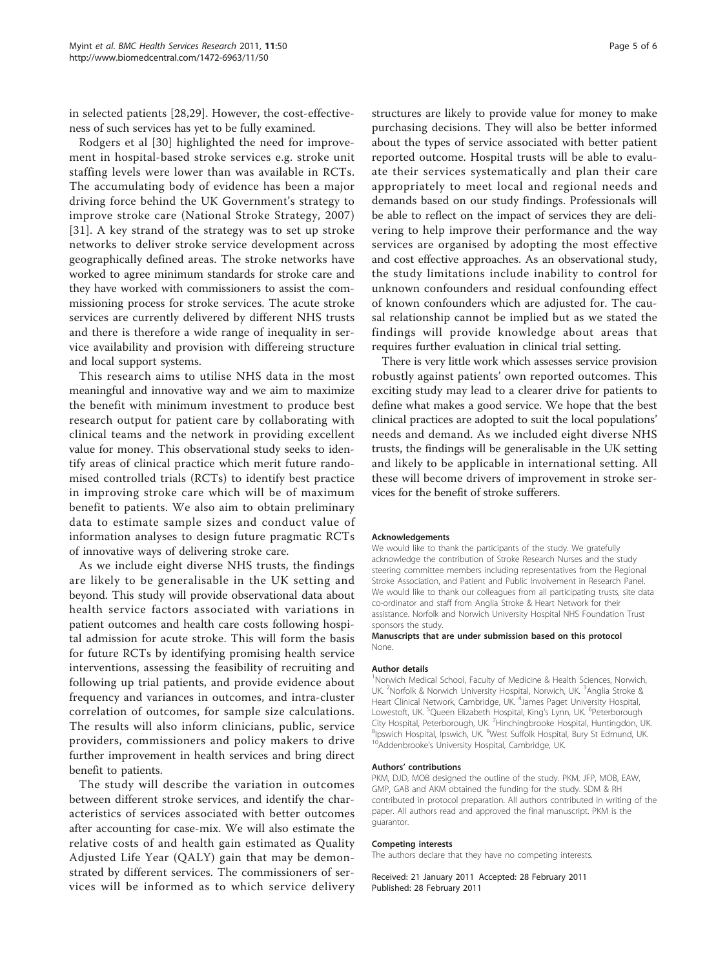in selected patients [[28,29](#page-5-0)]. However, the cost-effectiveness of such services has yet to be fully examined.

Rodgers et al [[30\]](#page-5-0) highlighted the need for improvement in hospital-based stroke services e.g. stroke unit staffing levels were lower than was available in RCTs. The accumulating body of evidence has been a major driving force behind the UK Government's strategy to improve stroke care (National Stroke Strategy, 2007) [[31](#page-5-0)]. A key strand of the strategy was to set up stroke networks to deliver stroke service development across geographically defined areas. The stroke networks have worked to agree minimum standards for stroke care and they have worked with commissioners to assist the commissioning process for stroke services. The acute stroke services are currently delivered by different NHS trusts and there is therefore a wide range of inequality in service availability and provision with differeing structure and local support systems.

This research aims to utilise NHS data in the most meaningful and innovative way and we aim to maximize the benefit with minimum investment to produce best research output for patient care by collaborating with clinical teams and the network in providing excellent value for money. This observational study seeks to identify areas of clinical practice which merit future randomised controlled trials (RCTs) to identify best practice in improving stroke care which will be of maximum benefit to patients. We also aim to obtain preliminary data to estimate sample sizes and conduct value of information analyses to design future pragmatic RCTs of innovative ways of delivering stroke care.

As we include eight diverse NHS trusts, the findings are likely to be generalisable in the UK setting and beyond. This study will provide observational data about health service factors associated with variations in patient outcomes and health care costs following hospital admission for acute stroke. This will form the basis for future RCTs by identifying promising health service interventions, assessing the feasibility of recruiting and following up trial patients, and provide evidence about frequency and variances in outcomes, and intra-cluster correlation of outcomes, for sample size calculations. The results will also inform clinicians, public, service providers, commissioners and policy makers to drive further improvement in health services and bring direct benefit to patients.

The study will describe the variation in outcomes between different stroke services, and identify the characteristics of services associated with better outcomes after accounting for case-mix. We will also estimate the relative costs of and health gain estimated as Quality Adjusted Life Year (QALY) gain that may be demonstrated by different services. The commissioners of services will be informed as to which service delivery

structures are likely to provide value for money to make purchasing decisions. They will also be better informed about the types of service associated with better patient reported outcome. Hospital trusts will be able to evaluate their services systematically and plan their care appropriately to meet local and regional needs and demands based on our study findings. Professionals will be able to reflect on the impact of services they are delivering to help improve their performance and the way services are organised by adopting the most effective and cost effective approaches. As an observational study, the study limitations include inability to control for unknown confounders and residual confounding effect of known confounders which are adjusted for. The causal relationship cannot be implied but as we stated the findings will provide knowledge about areas that requires further evaluation in clinical trial setting.

There is very little work which assesses service provision robustly against patients' own reported outcomes. This exciting study may lead to a clearer drive for patients to define what makes a good service. We hope that the best clinical practices are adopted to suit the local populations' needs and demand. As we included eight diverse NHS trusts, the findings will be generalisable in the UK setting and likely to be applicable in international setting. All these will become drivers of improvement in stroke services for the benefit of stroke sufferers.

#### Acknowledgements

We would like to thank the participants of the study. We gratefully acknowledge the contribution of Stroke Research Nurses and the study steering committee members including representatives from the Regional Stroke Association, and Patient and Public Involvement in Research Panel. We would like to thank our colleagues from all participating trusts, site data co-ordinator and staff from Anglia Stroke & Heart Network for their assistance. Norfolk and Norwich University Hospital NHS Foundation Trust sponsors the study.

#### Manuscripts that are under submission based on this protocol None.

#### Author details

<sup>1</sup>Norwich Medical School, Faculty of Medicine & Health Sciences, Norwich UK. <sup>2</sup>Norfolk & Norwich University Hospital, Norwich, UK. <sup>3</sup>Anglia Stroke & Heart Clinical Network, Cambridge, UK. <sup>4</sup> James Paget University Hospital Lowestoft, UK. <sup>5</sup>Queen Elizabeth Hospital, King's Lynn, UK. <sup>6</sup>Peterborough City Hospital, Peterborough, UK. <sup>7</sup> Hinchingbrooke Hospital, Huntingdon, UK.<br><sup>B</sup>loswich Hospital, Inswich, UK. <sup>9</sup> West Suffolk Hospital, Bury St. Edmund, UK. <sup>8</sup>lpswich Hospital, Ipswich, UK. <sup>9</sup>West Suffolk Hospital, Bury St Edmund, UK<br><sup>10</sup>Addenbrooke's University Hospital, Cambridge, UK.

#### Authors' contributions

PKM, DJD, MOB designed the outline of the study. PKM, JFP, MOB, EAW, GMP, GAB and AKM obtained the funding for the study. SDM & RH contributed in protocol preparation. All authors contributed in writing of the paper. All authors read and approved the final manuscript. PKM is the guarantor.

#### Competing interests

The authors declare that they have no competing interests.

Received: 21 January 2011 Accepted: 28 February 2011 Published: 28 February 2011